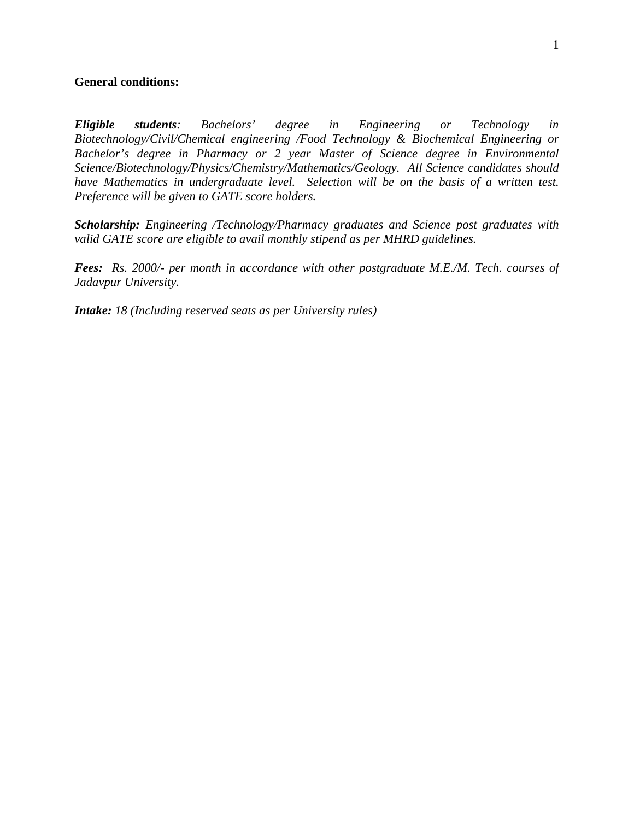### **General conditions:**

*Eligible students: Bachelors' degree in Engineering or Technology in Biotechnology/Civil/Chemical engineering /Food Technology & Biochemical Engineering or Bachelor's degree in Pharmacy or 2 year Master of Science degree in Environmental Science/Biotechnology/Physics/Chemistry/Mathematics/Geology. All Science candidates should have Mathematics in undergraduate level. Selection will be on the basis of a written test. Preference will be given to GATE score holders.* 

*Scholarship: Engineering /Technology/Pharmacy graduates and Science post graduates with valid GATE score are eligible to avail monthly stipend as per MHRD guidelines.* 

*Fees: Rs. 2000/- per month in accordance with other postgraduate M.E./M. Tech. courses of Jadavpur University.* 

*Intake: 18 (Including reserved seats as per University rules)*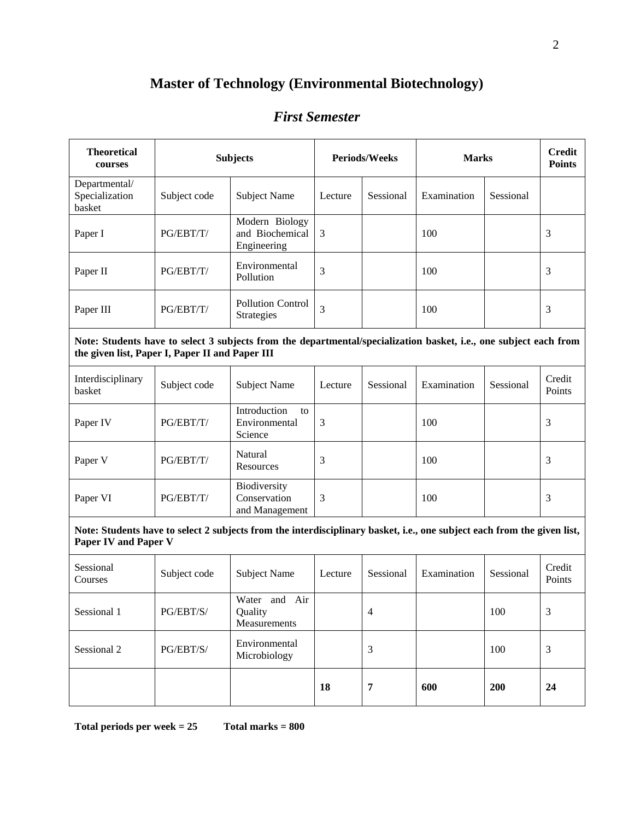# **Master of Technology (Environmental Biotechnology)**

## *First Semester*

| <b>Theoretical</b><br>courses                                                                                                                                        | <b>Subjects</b> |                                                  | <b>Periods/Weeks</b> |                | <b>Marks</b> |           | <b>Credit</b><br><b>Points</b> |  |
|----------------------------------------------------------------------------------------------------------------------------------------------------------------------|-----------------|--------------------------------------------------|----------------------|----------------|--------------|-----------|--------------------------------|--|
| Departmental/<br>Specialization<br>basket                                                                                                                            | Subject code    | <b>Subject Name</b>                              | Lecture              | Sessional      | Examination  | Sessional |                                |  |
| Paper I                                                                                                                                                              | PG/EBT/T/       | Modern Biology<br>and Biochemical<br>Engineering | 3                    |                | 100          |           | 3                              |  |
| Paper II                                                                                                                                                             | PG/EBT/T/       | Environmental<br>Pollution                       | 3                    |                | 100          |           | 3                              |  |
| Paper III                                                                                                                                                            | PG/EBT/T/       | <b>Pollution Control</b><br>Strategies           | 3                    |                | 100          |           | 3                              |  |
| Note: Students have to select 3 subjects from the departmental/specialization basket, i.e., one subject each from<br>the given list, Paper I, Paper II and Paper III |                 |                                                  |                      |                |              |           |                                |  |
| Interdisciplinary<br>basket                                                                                                                                          | Subject code    | <b>Subject Name</b>                              | Lecture              | Sessional      | Examination  | Sessional | Credit<br>Points               |  |
| Paper IV                                                                                                                                                             | PG/EBT/T/       | Introduction<br>to<br>Environmental<br>Science   | 3                    |                | 100          |           | 3                              |  |
| Paper V                                                                                                                                                              | PG/EBT/T/       | Natural<br>Resources                             | 3                    |                | 100          |           | 3                              |  |
| Paper VI                                                                                                                                                             | PG/EBT/T/       | Biodiversity<br>Conservation<br>and Management   | 3                    |                | 100          |           | 3                              |  |
| Note: Students have to select 2 subjects from the interdisciplinary basket, i.e., one subject each from the given list,<br><b>Paper IV and Paper V</b>               |                 |                                                  |                      |                |              |           |                                |  |
| Sessional<br>Courses                                                                                                                                                 | Subject code    | <b>Subject Name</b>                              | Lecture              | Sessional      | Examination  | Sessional | Credit<br>Points               |  |
| Sessional 1                                                                                                                                                          | PG/EBT/S/       | Water and Air<br>Quality<br>Measurements         |                      | $\overline{4}$ |              | 100       | 3                              |  |
| Sessional 2                                                                                                                                                          | PG/EBT/S/       | Environmental<br>Microbiology                    |                      | 3              |              | 100       | 3                              |  |
|                                                                                                                                                                      |                 |                                                  | 18                   | $\overline{7}$ | 600          | 200       | 24                             |  |

**Total periods per week = 25 Total marks = 800** 

 $\mathbf{r}$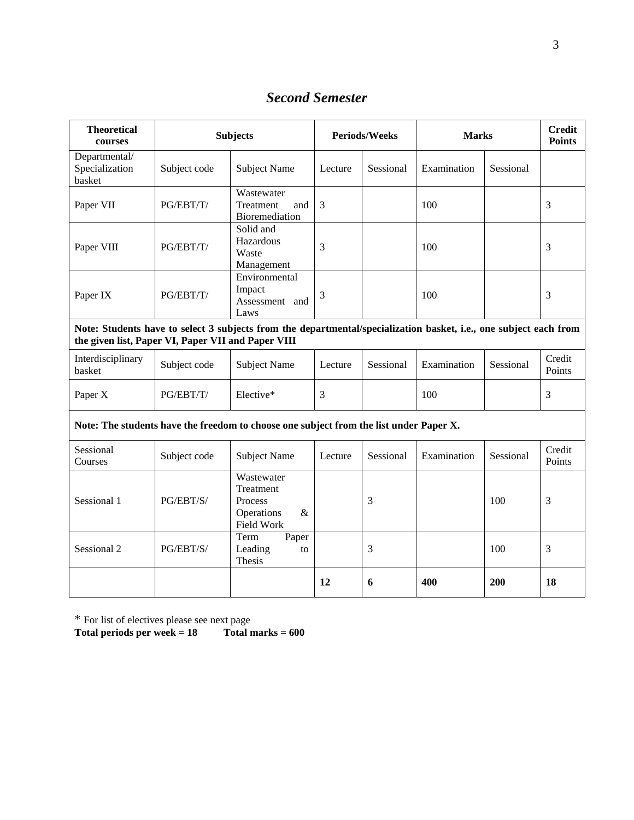*Second Semester* 

| <b>Theoretical</b><br>courses                                                                                                                                           | <b>Subjects</b> |                                                                        | <b>Periods/Weeks</b> |           | <b>Marks</b> |           | <b>Credit</b><br><b>Points</b> |  |
|-------------------------------------------------------------------------------------------------------------------------------------------------------------------------|-----------------|------------------------------------------------------------------------|----------------------|-----------|--------------|-----------|--------------------------------|--|
| Departmental/<br>Specialization<br>basket                                                                                                                               | Subject code    | <b>Subject Name</b>                                                    | Lecture              | Sessional | Examination  | Sessional |                                |  |
| Paper VII                                                                                                                                                               | PG/EBT/T/       | Wastewater<br>Treatment<br>and<br>Bioremediation                       | 3                    |           | 100          |           | 3                              |  |
| Paper VIII                                                                                                                                                              | PG/EBT/T/       | Solid and<br>Hazardous<br>Waste<br>Management                          | 3                    |           | 100          |           | 3                              |  |
| Paper IX                                                                                                                                                                | PG/EBT/T/       | Environmental<br>Impact<br>Assessment and<br>Laws                      | 3                    |           | 100          |           | 3                              |  |
| Note: Students have to select 3 subjects from the departmental/specialization basket, i.e., one subject each from<br>the given list, Paper VI, Paper VII and Paper VIII |                 |                                                                        |                      |           |              |           |                                |  |
| Interdisciplinary<br>basket                                                                                                                                             | Subject code    | <b>Subject Name</b>                                                    | Lecture              | Sessional | Examination  | Sessional | Credit<br>Points               |  |
| Paper X                                                                                                                                                                 | PG/EBT/T/       | Elective*                                                              | 3                    |           | 100          |           | 3                              |  |
| Note: The students have the freedom to choose one subject from the list under Paper X.                                                                                  |                 |                                                                        |                      |           |              |           |                                |  |
| Sessional<br>Courses                                                                                                                                                    | Subject code    | <b>Subject Name</b>                                                    | Lecture              | Sessional | Examination  | Sessional | Credit<br>Points               |  |
| Sessional 1                                                                                                                                                             | PG/EBT/S/       | Wastewater<br>Treatment<br>Process<br>Operations<br>$\&$<br>Field Work |                      | 3         |              | 100       | 3                              |  |
| Sessional 2                                                                                                                                                             | PG/EBT/S/       | Term<br>Paper<br>Leading<br>to<br>Thesis                               |                      | 3         |              | 100       | 3                              |  |
|                                                                                                                                                                         |                 |                                                                        | 12                   | 6         | 400          | 200       | 18                             |  |

\* For list of electives please see next page

**Total periods per week = 18 Total marks = 600**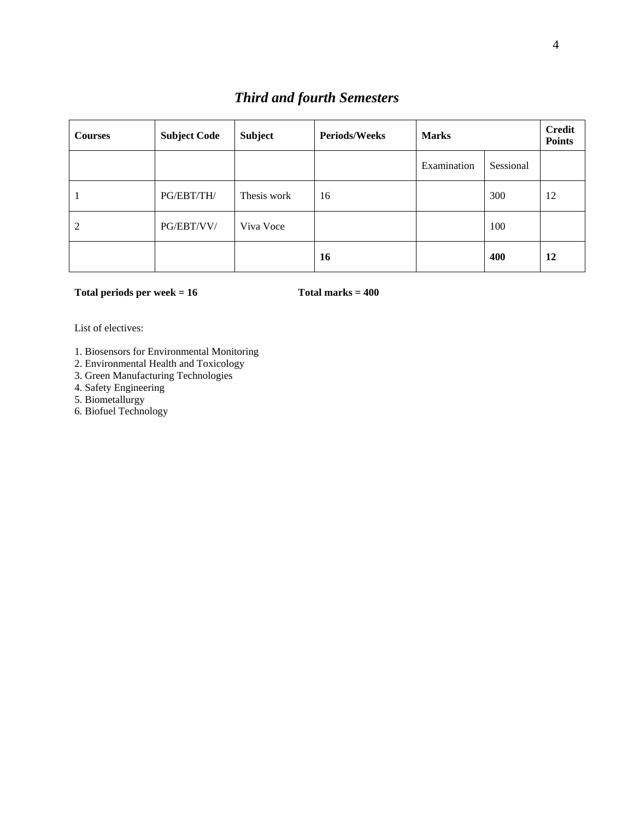## *Third and fourth Semesters*

| <b>Courses</b> | <b>Subject Code</b> | <b>Subject</b> | <b>Periods/Weeks</b> | <b>Marks</b> |           | <b>Credit</b><br><b>Points</b> |
|----------------|---------------------|----------------|----------------------|--------------|-----------|--------------------------------|
|                |                     |                |                      | Examination  | Sessional |                                |
|                | PG/EBT/TH/          | Thesis work    | 16                   |              | 300       | 12                             |
| 2              | PG/EBT/VV/          | Viva Voce      |                      |              | 100       |                                |
|                |                     |                | 16                   |              | 400       | 12                             |

#### Total periods per week = 16 Total marks = 400

List of electives:

- 1. Biosensors for Environmental Monitoring
- 2. Environmental Health and Toxicology
- 3. Green Manufacturing Technologies
- 4. Safety Engineering
- 5. Biometallurgy
- 6. Biofuel Technology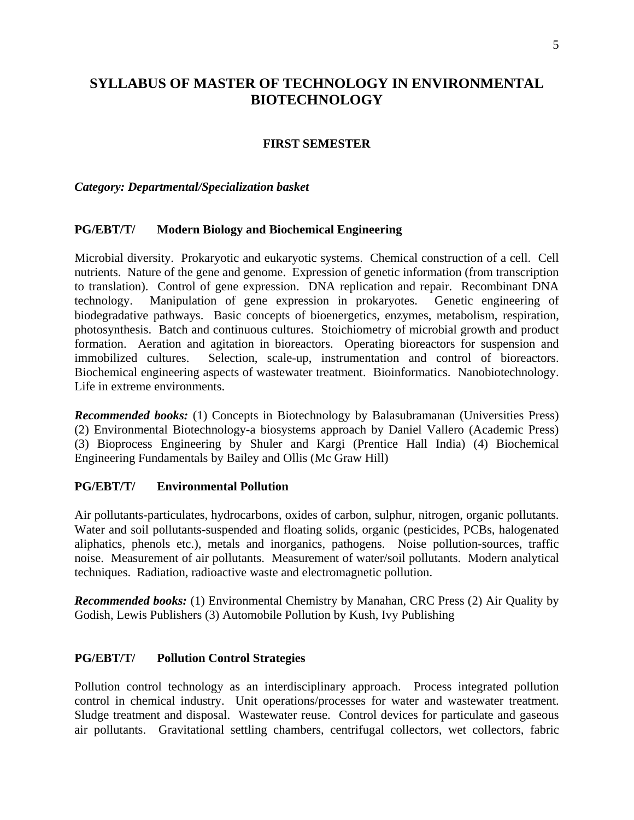## **SYLLABUS OF MASTER OF TECHNOLOGY IN ENVIRONMENTAL BIOTECHNOLOGY**

### **FIRST SEMESTER**

#### *Category: Departmental/Specialization basket*

#### **PG/EBT/T/ Modern Biology and Biochemical Engineering**

Microbial diversity. Prokaryotic and eukaryotic systems. Chemical construction of a cell. Cell nutrients. Nature of the gene and genome. Expression of genetic information (from transcription to translation). Control of gene expression. DNA replication and repair. Recombinant DNA technology. Manipulation of gene expression in prokaryotes. Genetic engineering of biodegradative pathways. Basic concepts of bioenergetics, enzymes, metabolism, respiration, photosynthesis. Batch and continuous cultures. Stoichiometry of microbial growth and product formation. Aeration and agitation in bioreactors. Operating bioreactors for suspension and immobilized cultures. Selection, scale-up, instrumentation and control of bioreactors. Biochemical engineering aspects of wastewater treatment. Bioinformatics. Nanobiotechnology. Life in extreme environments.

*Recommended books:* (1) Concepts in Biotechnology by Balasubramanan (Universities Press) (2) Environmental Biotechnology-a biosystems approach by Daniel Vallero (Academic Press) (3) Bioprocess Engineering by Shuler and Kargi (Prentice Hall India) (4) Biochemical Engineering Fundamentals by Bailey and Ollis (Mc Graw Hill)

### **PG/EBT/T/ Environmental Pollution**

Air pollutants-particulates, hydrocarbons, oxides of carbon, sulphur, nitrogen, organic pollutants. Water and soil pollutants-suspended and floating solids, organic (pesticides, PCBs, halogenated aliphatics, phenols etc.), metals and inorganics, pathogens. Noise pollution-sources, traffic noise. Measurement of air pollutants. Measurement of water/soil pollutants. Modern analytical techniques. Radiation, radioactive waste and electromagnetic pollution.

*Recommended books:* (1) Environmental Chemistry by Manahan, CRC Press (2) Air Quality by Godish, Lewis Publishers (3) Automobile Pollution by Kush, Ivy Publishing

### **PG/EBT/T/ Pollution Control Strategies**

Pollution control technology as an interdisciplinary approach. Process integrated pollution control in chemical industry. Unit operations/processes for water and wastewater treatment. Sludge treatment and disposal. Wastewater reuse. Control devices for particulate and gaseous air pollutants. Gravitational settling chambers, centrifugal collectors, wet collectors, fabric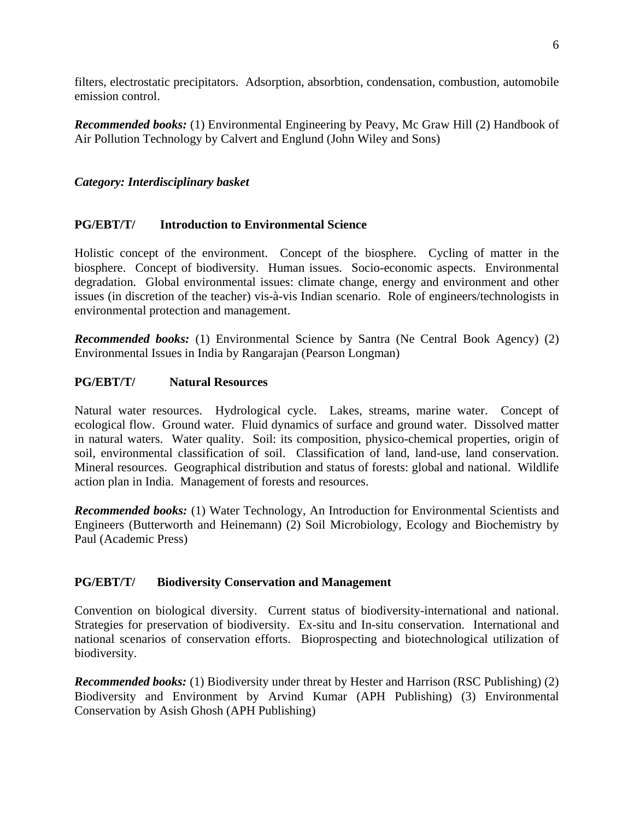filters, electrostatic precipitators. Adsorption, absorbtion, condensation, combustion, automobile emission control.

*Recommended books:* (1) Environmental Engineering by Peavy, Mc Graw Hill (2) Handbook of Air Pollution Technology by Calvert and Englund (John Wiley and Sons)

### *Category: Interdisciplinary basket*

### **PG/EBT/T/ Introduction to Environmental Science**

Holistic concept of the environment. Concept of the biosphere. Cycling of matter in the biosphere. Concept of biodiversity. Human issues. Socio-economic aspects. Environmental degradation. Global environmental issues: climate change, energy and environment and other issues (in discretion of the teacher) vis-à-vis Indian scenario. Role of engineers/technologists in environmental protection and management.

*Recommended books:* (1) Environmental Science by Santra (Ne Central Book Agency) (2) Environmental Issues in India by Rangarajan (Pearson Longman)

### **PG/EBT/T/ Natural Resources**

Natural water resources. Hydrological cycle. Lakes, streams, marine water. Concept of ecological flow. Ground water. Fluid dynamics of surface and ground water. Dissolved matter in natural waters. Water quality. Soil: its composition, physico-chemical properties, origin of soil, environmental classification of soil. Classification of land, land-use, land conservation. Mineral resources. Geographical distribution and status of forests: global and national. Wildlife action plan in India. Management of forests and resources.

*Recommended books:* (1) Water Technology, An Introduction for Environmental Scientists and Engineers (Butterworth and Heinemann) (2) Soil Microbiology, Ecology and Biochemistry by Paul (Academic Press)

### **PG/EBT/T/ Biodiversity Conservation and Management**

Convention on biological diversity. Current status of biodiversity-international and national. Strategies for preservation of biodiversity. Ex-situ and In-situ conservation. International and national scenarios of conservation efforts. Bioprospecting and biotechnological utilization of biodiversity.

*Recommended books:* (1) Biodiversity under threat by Hester and Harrison (RSC Publishing) (2) Biodiversity and Environment by Arvind Kumar (APH Publishing) (3) Environmental Conservation by Asish Ghosh (APH Publishing)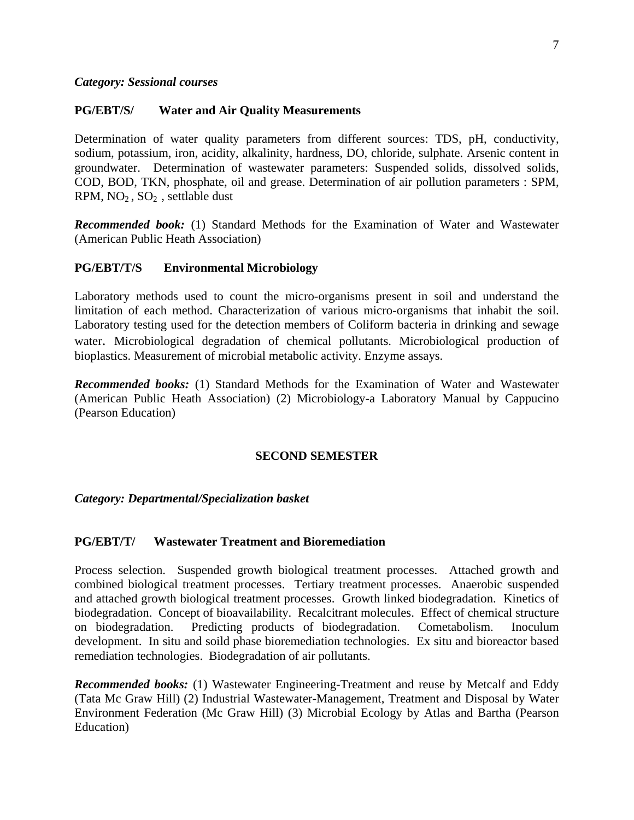#### *Category: Sessional courses*

#### **PG/EBT/S/ Water and Air Quality Measurements**

Determination of water quality parameters from different sources: TDS, pH, conductivity, sodium, potassium, iron, acidity, alkalinity, hardness, DO, chloride, sulphate. Arsenic content in groundwater. Determination of wastewater parameters: Suspended solids, dissolved solids, COD, BOD, TKN, phosphate, oil and grease. Determination of air pollution parameters : SPM, RPM, NO2 , SO2 , settlable dust

*Recommended book:* (1) Standard Methods for the Examination of Water and Wastewater (American Public Heath Association)

#### **PG/EBT/T/S Environmental Microbiology**

Laboratory methods used to count the micro-organisms present in soil and understand the limitation of each method. Characterization of various micro-organisms that inhabit the soil. Laboratory testing used for the detection members of Coliform bacteria in drinking and sewage water. Microbiological degradation of chemical pollutants. Microbiological production of bioplastics. Measurement of microbial metabolic activity. Enzyme assays.

*Recommended books:* (1) Standard Methods for the Examination of Water and Wastewater (American Public Heath Association) (2) Microbiology-a Laboratory Manual by Cappucino (Pearson Education)

#### **SECOND SEMESTER**

#### *Category: Departmental/Specialization basket*

#### **PG/EBT/T/ Wastewater Treatment and Bioremediation**

Process selection. Suspended growth biological treatment processes. Attached growth and combined biological treatment processes. Tertiary treatment processes. Anaerobic suspended and attached growth biological treatment processes. Growth linked biodegradation. Kinetics of biodegradation. Concept of bioavailability. Recalcitrant molecules. Effect of chemical structure on biodegradation. Predicting products of biodegradation. Cometabolism. Inoculum development. In situ and soild phase bioremediation technologies. Ex situ and bioreactor based remediation technologies. Biodegradation of air pollutants.

*Recommended books:* (1) Wastewater Engineering-Treatment and reuse by Metcalf and Eddy (Tata Mc Graw Hill) (2) Industrial Wastewater-Management, Treatment and Disposal by Water Environment Federation (Mc Graw Hill) (3) Microbial Ecology by Atlas and Bartha (Pearson Education)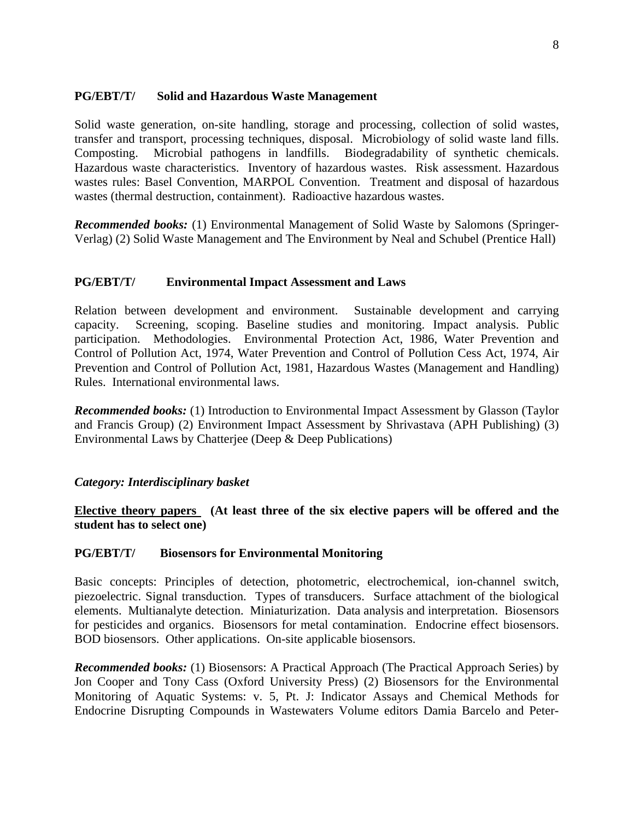### **PG/EBT/T/ Solid and Hazardous Waste Management**

Solid waste generation, on-site handling, storage and processing, collection of solid wastes, transfer and transport, processing techniques, disposal. Microbiology of solid waste land fills. Composting. Microbial pathogens in landfills. Biodegradability of synthetic chemicals. Hazardous waste characteristics. Inventory of hazardous wastes. Risk assessment. Hazardous wastes rules: Basel Convention, MARPOL Convention. Treatment and disposal of hazardous wastes (thermal destruction, containment). Radioactive hazardous wastes.

*Recommended books:* (1) Environmental Management of Solid Waste by Salomons (Springer-Verlag) (2) Solid Waste Management and The Environment by Neal and Schubel (Prentice Hall)

#### **PG/EBT/T/ Environmental Impact Assessment and Laws**

Relation between development and environment. Sustainable development and carrying capacity. Screening, scoping. Baseline studies and monitoring. Impact analysis. Public participation. Methodologies. Environmental Protection Act, 1986, Water Prevention and Control of Pollution Act, 1974, Water Prevention and Control of Pollution Cess Act, 1974, Air Prevention and Control of Pollution Act, 1981, Hazardous Wastes (Management and Handling) Rules. International environmental laws.

*Recommended books:* (1) Introduction to Environmental Impact Assessment by Glasson (Taylor and Francis Group) (2) Environment Impact Assessment by Shrivastava (APH Publishing) (3) Environmental Laws by Chatterjee (Deep & Deep Publications)

#### *Category: Interdisciplinary basket*

**Elective theory papers (At least three of the six elective papers will be offered and the student has to select one)**

#### **PG/EBT/T/ Biosensors for Environmental Monitoring**

Basic concepts: Principles of detection, photometric, electrochemical, ion-channel switch, piezoelectric. Signal transduction. Types of transducers. Surface attachment of the biological elements. Multianalyte detection. Miniaturization. Data analysis and interpretation. Biosensors for pesticides and organics. Biosensors for metal contamination. Endocrine effect biosensors. BOD biosensors. Other applications. On-site applicable biosensors.

*Recommended books:* (1) Biosensors: A Practical Approach (The Practical Approach Series) by Jon Cooper and Tony Cass (Oxford University Press) (2) Biosensors for the Environmental Monitoring of Aquatic Systems: v. 5, Pt. J: Indicator Assays and Chemical Methods for Endocrine Disrupting Compounds in Wastewaters Volume editors Damia Barcelo and Peter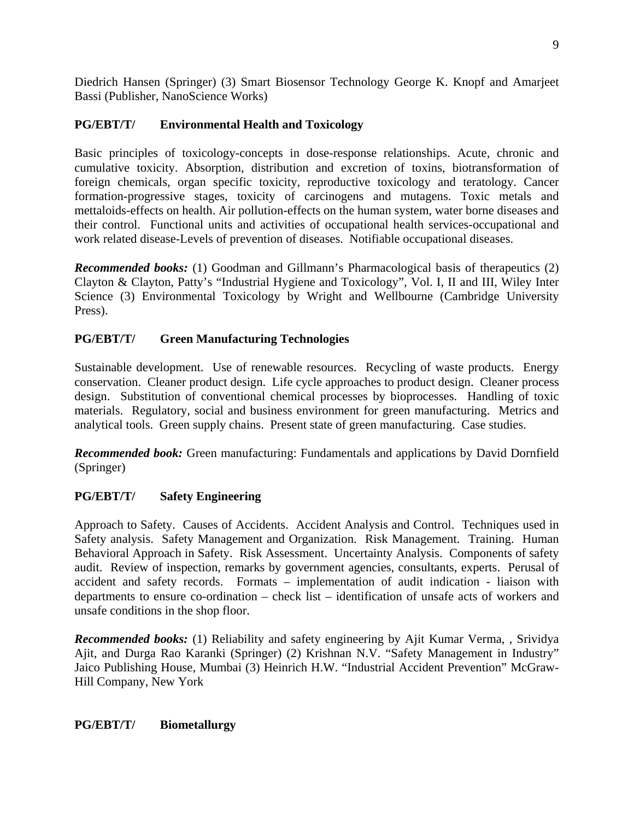Diedrich Hansen (Springer) (3) Smart Biosensor Technology George K. Knopf and Amarjeet Bassi (Publisher, NanoScience Works)

## **PG/EBT/T/ Environmental Health and Toxicology**

Basic principles of toxicology-concepts in dose-response relationships. Acute, chronic and cumulative toxicity. Absorption, distribution and excretion of toxins, biotransformation of foreign chemicals, organ specific toxicity, reproductive toxicology and teratology. Cancer formation-progressive stages, toxicity of carcinogens and mutagens. Toxic metals and mettaloids-effects on health. Air pollution-effects on the human system, water borne diseases and their control. Functional units and activities of occupational health services-occupational and work related disease-Levels of prevention of diseases. Notifiable occupational diseases.

*Recommended books:* (1) Goodman and Gillmann's Pharmacological basis of therapeutics (2) Clayton & Clayton, Patty's "Industrial Hygiene and Toxicology", Vol. I, II and III, Wiley Inter Science (3) Environmental Toxicology by Wright and Wellbourne (Cambridge University Press).

## **PG/EBT/T/ Green Manufacturing Technologies**

Sustainable development. Use of renewable resources. Recycling of waste products. Energy conservation. Cleaner product design. Life cycle approaches to product design. Cleaner process design. Substitution of conventional chemical processes by bioprocesses. Handling of toxic materials. Regulatory, social and business environment for green manufacturing. Metrics and analytical tools. Green supply chains. Present state of green manufacturing. Case studies.

*Recommended book:* Green manufacturing: Fundamentals and applications by David Dornfield (Springer)

## **PG/EBT/T/ Safety Engineering**

Approach to Safety. Causes of Accidents. Accident Analysis and Control. Techniques used in Safety analysis. Safety Management and Organization. Risk Management. Training. Human Behavioral Approach in Safety. Risk Assessment. Uncertainty Analysis. Components of safety audit. Review of inspection, remarks by government agencies, consultants, experts. Perusal of accident and safety records. Formats – implementation of audit indication - liaison with departments to ensure co-ordination – check list – identification of unsafe acts of workers and unsafe conditions in the shop floor.

*Recommended books:* (1) Reliability and safety engineering by Ajit Kumar Verma, , Srividya Ajit, and Durga Rao Karanki (Springer) (2) Krishnan N.V. "Safety Management in Industry" Jaico Publishing House, Mumbai (3) Heinrich H.W. "Industrial Accident Prevention" McGraw-Hill Company, New York

### **PG/EBT/T/ Biometallurgy**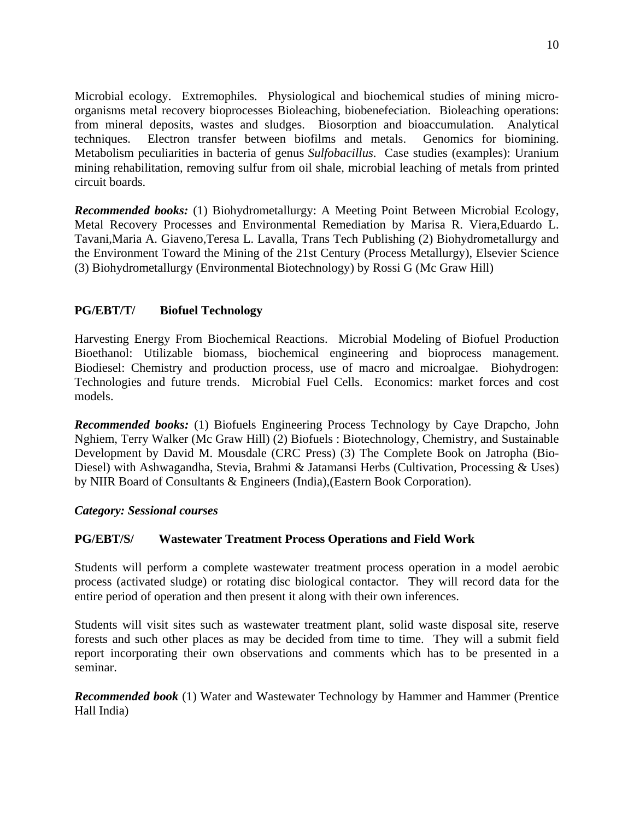Microbial ecology. Extremophiles. Physiological and biochemical studies of mining microorganisms metal recovery bioprocesses Bioleaching, biobenefeciation. Bioleaching operations: from mineral deposits, wastes and sludges. Biosorption and bioaccumulation. Analytical techniques. Electron transfer between biofilms and metals. Genomics for biomining. Metabolism peculiarities in bacteria of genus *Sulfobacillus*. Case studies (examples): Uranium mining rehabilitation, removing sulfur from oil shale, microbial leaching of metals from printed circuit boards.

*Recommended books:* (1) Biohydrometallurgy: A Meeting Point Between Microbial Ecology, Metal Recovery Processes and Environmental Remediation by Marisa R. Viera,Eduardo L. Tavani,Maria A. Giaveno,Teresa L. Lavalla, Trans Tech Publishing (2) Biohydrometallurgy and the Environment Toward the Mining of the 21st Century (Process Metallurgy), Elsevier Science (3) Biohydrometallurgy (Environmental Biotechnology) by Rossi G (Mc Graw Hill)

## **PG/EBT/T/ Biofuel Technology**

Harvesting Energy From Biochemical Reactions. Microbial Modeling of Biofuel Production Bioethanol: Utilizable biomass, biochemical engineering and bioprocess management. Biodiesel: Chemistry and production process, use of macro and microalgae. Biohydrogen: Technologies and future trends. Microbial Fuel Cells. Economics: market forces and cost models.

*Recommended books:* (1) Biofuels Engineering Process Technology by Caye Drapcho, John Nghiem, Terry Walker (Mc Graw Hill) (2) Biofuels : Biotechnology, Chemistry, and Sustainable Development by David M. Mousdale (CRC Press) (3) The Complete Book on Jatropha (Bio-Diesel) with Ashwagandha, Stevia, Brahmi & Jatamansi Herbs (Cultivation, Processing & Uses) by NIIR Board of Consultants & Engineers (India),(Eastern Book Corporation).

## *Category: Sessional courses*

## **PG/EBT/S/ Wastewater Treatment Process Operations and Field Work**

Students will perform a complete wastewater treatment process operation in a model aerobic process (activated sludge) or rotating disc biological contactor. They will record data for the entire period of operation and then present it along with their own inferences.

Students will visit sites such as wastewater treatment plant, solid waste disposal site, reserve forests and such other places as may be decided from time to time. They will a submit field report incorporating their own observations and comments which has to be presented in a seminar.

*Recommended book* (1) Water and Wastewater Technology by Hammer and Hammer (Prentice Hall India)